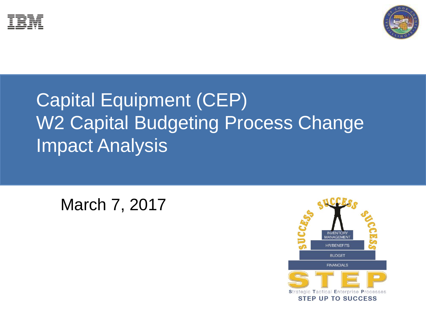



# Capital Equipment (CEP) W2 Capital Budgeting Process Change Impact Analysis

March 7, 2017

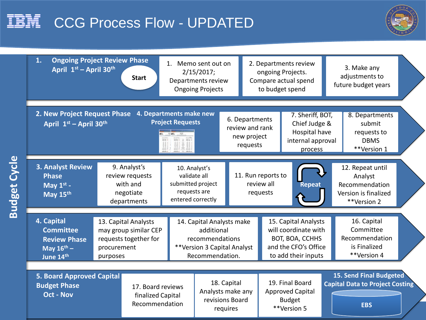## IBM CCG Process Flow - UPDATED

**Budget Cycle**



| 1.<br>April 1st - April 30th                                                                 | <b>Ongoing Project Review Phase</b><br><b>Start</b>                                               |                                                                                                              | 1. Memo sent out on<br>2/15/2017;<br>Departments review<br><b>Ongoing Projects</b> |                                                              |                                                                                                                | 2. Departments review<br>ongoing Projects.<br>Compare actual spend<br>to budget spend |                                                                                      | 3. Make any<br>adjustments to<br>future budget years                      |  |
|----------------------------------------------------------------------------------------------|---------------------------------------------------------------------------------------------------|--------------------------------------------------------------------------------------------------------------|------------------------------------------------------------------------------------|--------------------------------------------------------------|----------------------------------------------------------------------------------------------------------------|---------------------------------------------------------------------------------------|--------------------------------------------------------------------------------------|---------------------------------------------------------------------------|--|
| 2. New Project Request Phase<br>April 1st - April 30th                                       |                                                                                                   | 4. Departments make new<br><b>Project Requests</b><br><b>OR</b>                                              |                                                                                    | 6. Departments<br>review and rank<br>new project<br>requests |                                                                                                                | 7. Sheriff, BOT,<br>Chief Judge &<br>Hospital have<br>internal approval<br>process    |                                                                                      | 8. Departments<br>submit<br>requests to<br><b>DBMS</b><br>**Version 1     |  |
| <b>3. Analyst Review</b><br><b>Phase</b><br>May $1^{st}$ -<br>May 15th                       | 9. Analyst's<br>review requests<br>with and<br>negotiate<br>departments                           | 10. Analyst's<br>validate all<br>submitted project<br>requests are<br>entered correctly                      |                                                                                    |                                                              | 11. Run reports to<br>review all<br>Repeat<br>requests                                                         |                                                                                       | 12. Repeat until<br>Analyst<br>Recommendation<br>Version is finalized<br>**Version 2 |                                                                           |  |
| 4. Capital<br><b>Committee</b><br><b>Review Phase</b><br>May $16^{\text{th}}$ -<br>June 14th | 13. Capital Analysts<br>may group similar CEP<br>requests together for<br>procurement<br>purposes | 14. Capital Analysts make<br>additional<br>recommendations<br>**Version 3 Capital Analyst<br>Recommendation. |                                                                                    |                                                              | 15. Capital Analysts<br>will coordinate with<br>BOT, BOA, CCHHS<br>and the CFO's Office<br>to add their inputs |                                                                                       |                                                                                      | 16. Capital<br>Committee<br>Recommendation<br>is Finalized<br>**Version 4 |  |
| <b>5. Board Approved Capital</b><br><b>Budget Phase</b><br><b>Oct - Nov</b>                  | 17. Board reviews<br>finalized Capital<br>Recommendation                                          |                                                                                                              | 18. Capital<br>Analysts make any<br>revisions Board<br>requires                    |                                                              | 19. Final Board<br><b>Approved Capital</b><br><b>Budget</b><br>**Version 5                                     |                                                                                       | 15. Send Final Budgeted<br><b>Capital Data to Project Costing</b><br><b>EBS</b>      |                                                                           |  |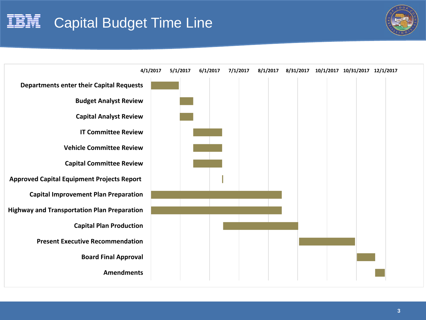# Capital Budget Time Line



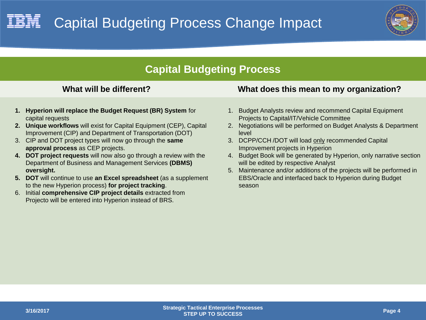

## **Capital Budgeting Process**

- **1. Hyperion will replace the Budget Request (BR) System** for capital requests
- **2. Unique workflows** will exist for Capital Equipment (CEP), Capital Improvement (CIP) and Department of Transportation (DOT)
- 3. CIP and DOT project types will now go through the **same approval process** as CEP projects.
- **4. DOT project requests** will now also go through a review with the Department of Business and Management Services **(DBMS) oversight.**
- **5. DOT** will continue to use **an Excel spreadsheet** (as a supplement to the new Hyperion process) **for project tracking**.
- 6. Initial **comprehensive CIP project details** extracted from Projecto will be entered into Hyperion instead of BRS.

## **What will be different? What does this mean to my organization?**

- 1. Budget Analysts review and recommend Capital Equipment Projects to Capital/IT/Vehicle Committee
- 2. Negotiations will be performed on Budget Analysts & Department level
- 3. DCPP/CCH /DOT will load only recommended Capital Improvement projects in Hyperion
- 4. Budget Book will be generated by Hyperion, only narrative section will be edited by respective Analyst
- 5. Maintenance and/or additions of the projects will be performed in EBS/Oracle and interfaced back to Hyperion during Budget season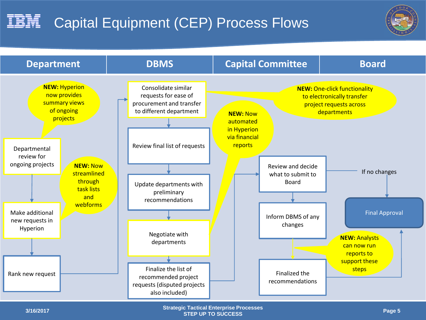### IBM I Capital Equipment (CEP) Process Flows



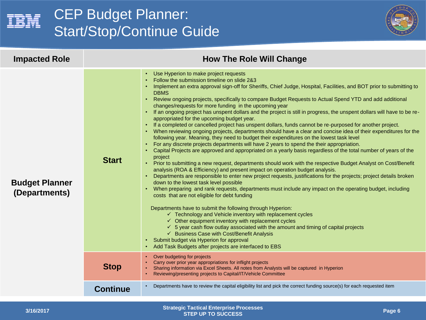

## CEP Budget Planner: Start/Stop/Continue Guide



| <b>Impacted Role</b>                   |                 | <b>How The Role Will Change</b>                                                                                                                                                                                                                                                                                                                                                                                                                                                                                                                                                                                                                                                                                                                                                                                                                                                                                                                                                                                                                                                                                                                                                                                                                                                                                                                                                                                                                                                                                                                                                                                                                                                                                                                                                                                                                                                                                                                                                                                                                                                                                                               |
|----------------------------------------|-----------------|-----------------------------------------------------------------------------------------------------------------------------------------------------------------------------------------------------------------------------------------------------------------------------------------------------------------------------------------------------------------------------------------------------------------------------------------------------------------------------------------------------------------------------------------------------------------------------------------------------------------------------------------------------------------------------------------------------------------------------------------------------------------------------------------------------------------------------------------------------------------------------------------------------------------------------------------------------------------------------------------------------------------------------------------------------------------------------------------------------------------------------------------------------------------------------------------------------------------------------------------------------------------------------------------------------------------------------------------------------------------------------------------------------------------------------------------------------------------------------------------------------------------------------------------------------------------------------------------------------------------------------------------------------------------------------------------------------------------------------------------------------------------------------------------------------------------------------------------------------------------------------------------------------------------------------------------------------------------------------------------------------------------------------------------------------------------------------------------------------------------------------------------------|
| <b>Budget Planner</b><br>(Departments) | <b>Start</b>    | Use Hyperion to make project requests<br>Follow the submission timeline on slide 2&3<br>• Implement an extra approval sign-off for Sheriffs, Chief Judge, Hospital, Facilities, and BOT prior to submitting to<br><b>DBMS</b><br>Review ongoing projects, specifically to compare Budget Requests to Actual Spend YTD and add additional<br>changes/requests for more funding in the upcoming year<br>. If an ongoing project has unspent dollars and the project is still in progress, the unspent dollars will have to be re-<br>appropriated for the upcoming budget year.<br>If a completed or cancelled project has unspent dollars, funds cannot be re-purposed for another project.<br>When reviewing ongoing projects, departments should have a clear and concise idea of their expenditures for the<br>following year. Meaning, they need to budget their expenditures on the lowest task level<br>For any discrete projects departments will have 2 years to spend the their appropriation.<br>Capital Projects are approved and appropriated on a yearly basis regardless of the total number of years of the<br>project<br>Prior to submitting a new request, departments should work with the respective Budget Analyst on Cost/Benefit<br>$\bullet$ .<br>analysis (ROA & Efficiency) and present impact on operation budget analysis.<br>Departments are responsible to enter new project requests, justifications for the projects; project details broken<br>down to the lowest task level possible<br>When preparing and rank requests, departments must include any impact on the operating budget, including<br>costs that are not eligible for debt funding<br>Departments have to submit the following through Hyperion:<br>$\checkmark$ Technology and Vehicle inventory with replacement cycles<br>$\checkmark$ Other equipment inventory with replacement cycles<br>$\checkmark$ 5 year cash flow outlay associated with the amount and timing of capital projects<br>← Business Case with Cost/Benefit Analysis<br>Submit budget via Hyperion for approval<br>Add Task Budgets after projects are interfaced to EBS |
|                                        | <b>Stop</b>     | Over budgeting for projects<br>Carry over prior year appropriations for inflight projects<br>Sharing information via Excel Sheets. All notes from Analysts will be captured in Hyperion<br>Reviewing/presenting projects to Capital/IT/Vehicle Committee                                                                                                                                                                                                                                                                                                                                                                                                                                                                                                                                                                                                                                                                                                                                                                                                                                                                                                                                                                                                                                                                                                                                                                                                                                                                                                                                                                                                                                                                                                                                                                                                                                                                                                                                                                                                                                                                                      |
|                                        | <b>Continue</b> | Departments have to review the capital eligibility list and pick the correct funding source(s) for each requested item                                                                                                                                                                                                                                                                                                                                                                                                                                                                                                                                                                                                                                                                                                                                                                                                                                                                                                                                                                                                                                                                                                                                                                                                                                                                                                                                                                                                                                                                                                                                                                                                                                                                                                                                                                                                                                                                                                                                                                                                                        |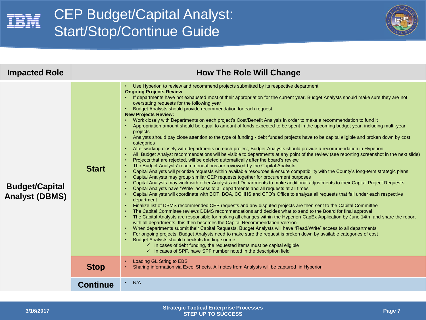

## CEP Budget/Capital Analyst: Start/Stop/Continue Guide



| <b>Impacted Role</b>                           | <b>How The Role Will Change</b> |                                                                                                                                                                                                                                                                                                                                                                                                                                                                                                                                                                                                                                                                                                                                                                                                                                                                                                                                                                                                                                                                                                                                                                                                                                                                                                                                                                                                                                                                                                                                                                                                                                                                                                                                                                                                                                                                                                                                                                                                                                                                                                                                                                                                                                                                                                                                                                                                                                                                                                                                                                                                                                                                                                                                                                                                                                     |  |  |
|------------------------------------------------|---------------------------------|-------------------------------------------------------------------------------------------------------------------------------------------------------------------------------------------------------------------------------------------------------------------------------------------------------------------------------------------------------------------------------------------------------------------------------------------------------------------------------------------------------------------------------------------------------------------------------------------------------------------------------------------------------------------------------------------------------------------------------------------------------------------------------------------------------------------------------------------------------------------------------------------------------------------------------------------------------------------------------------------------------------------------------------------------------------------------------------------------------------------------------------------------------------------------------------------------------------------------------------------------------------------------------------------------------------------------------------------------------------------------------------------------------------------------------------------------------------------------------------------------------------------------------------------------------------------------------------------------------------------------------------------------------------------------------------------------------------------------------------------------------------------------------------------------------------------------------------------------------------------------------------------------------------------------------------------------------------------------------------------------------------------------------------------------------------------------------------------------------------------------------------------------------------------------------------------------------------------------------------------------------------------------------------------------------------------------------------------------------------------------------------------------------------------------------------------------------------------------------------------------------------------------------------------------------------------------------------------------------------------------------------------------------------------------------------------------------------------------------------------------------------------------------------------------------------------------------------|--|--|
| <b>Budget/Capital</b><br><b>Analyst (DBMS)</b> | <b>Start</b>                    | Use Hyperion to review and recommend projects submitted by its respective department<br><b>Ongoing Projects Review:</b><br>• If departments have not exhausted most of their appropriation for the current year, Budget Analysts should make sure they are not<br>overstating requests for the following year<br>• Budget Analysts should provide recommendation for each request<br><b>New Projects Review:</b><br>• Work closely with Departments on each project's Cost/Benefit Analysis in order to make a recommendation to fund it<br>Appropriation amount should be equal to amount of funds expected to be spent in the upcoming budget year, including multi-year<br>projects<br>• Analysts should pay close attention to the type of funding - debt funded projects have to be capital eligible and broken down by cost<br>categories<br>• After working closely with departments on each project, Budget Analysts should provide a recommendation in Hyperion<br>All Budget Analyst recommendations will be visible to departments at any point of the review (see reporting screenshot in the next slide)<br>Projects that are rejected, will be deleted automatically after the board's review<br>The Budget Analysts' recommendations are reviewed by the Capital Analysts<br>Capital Analysts will prioritize requests within available resources & ensure compatibility with the County's long-term strategic plans<br>Capital Analysts may group similar CEP requests together for procurement purposes<br>Capital Analysts may work with other Analysts and Departments to make additional adjustments to their Capital Project Requests<br>Capital Analysts have "Write" access to all departments and all requests at all times<br>Capital Analysts will coordinate with BOT, BOA, CCHHS and CFO's Office to analyze all requests that fall under each respective<br>department<br>• Finalize list of DBMS recommended CEP requests and any disputed projects are then sent to the Capital Committee<br>The Capital Committee reviews DBMS recommendations and decides what to send to the Board for final approval<br>The Capital Analysts are responsible for making all changes within the Hyperion CapEx Application by June 14th and share the report<br>with all departments, this then becomes the Capital Recommendation Version<br>• When departments submit their Capital Requests, Budget Analysts will have "Read/Write" access to all departments<br>For ongoing projects, Budget Analysts need to make sure the request is broken down by available categories of cost<br>Budget Analysts should check its funding source:<br>$\checkmark$ In cases of debt funding, the requested items must be capital eligible<br>$\checkmark$ In cases of SPF, have SPF number noted in the description field |  |  |
|                                                | <b>Stop</b>                     | Loading GL String to EBS<br>Sharing information via Excel Sheets. All notes from Analysts will be captured in Hyperion                                                                                                                                                                                                                                                                                                                                                                                                                                                                                                                                                                                                                                                                                                                                                                                                                                                                                                                                                                                                                                                                                                                                                                                                                                                                                                                                                                                                                                                                                                                                                                                                                                                                                                                                                                                                                                                                                                                                                                                                                                                                                                                                                                                                                                                                                                                                                                                                                                                                                                                                                                                                                                                                                                              |  |  |
|                                                | <b>Continue</b>                 | N/A<br>$\bullet$                                                                                                                                                                                                                                                                                                                                                                                                                                                                                                                                                                                                                                                                                                                                                                                                                                                                                                                                                                                                                                                                                                                                                                                                                                                                                                                                                                                                                                                                                                                                                                                                                                                                                                                                                                                                                                                                                                                                                                                                                                                                                                                                                                                                                                                                                                                                                                                                                                                                                                                                                                                                                                                                                                                                                                                                                    |  |  |